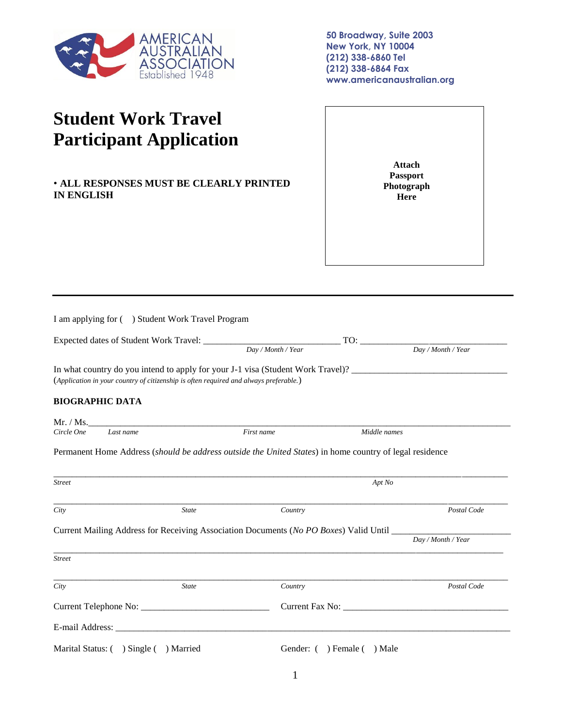

**50 Broadway, Suite 2003 New York, NY 10004 (212) 338-6860 Tel (212) 338-6864 Fax www.americanaustralian.org**

## **Student Work Travel Participant Application**

• **ALL RESPONSES MUST BE CLEARLY PRINTED IN ENGLISH**

**Attach Passport Photograph Here**

|                                        | I am applying for ( ) Student Work Travel Program                                     |                              |                                                                                                         |  |  |
|----------------------------------------|---------------------------------------------------------------------------------------|------------------------------|---------------------------------------------------------------------------------------------------------|--|--|
|                                        |                                                                                       |                              |                                                                                                         |  |  |
|                                        |                                                                                       | $\boxed{Day / Month / Year}$ | $\boxed{Day / Month / Year}$                                                                            |  |  |
|                                        | (Application in your country of citizenship is often required and always preferable.) |                              | In what country do you intend to apply for your J-1 visa (Student Work Travel)?                         |  |  |
| <b>BIOGRAPHIC DATA</b>                 |                                                                                       |                              |                                                                                                         |  |  |
|                                        |                                                                                       |                              |                                                                                                         |  |  |
| Last name<br>Circle One                |                                                                                       | First name                   | Middle names                                                                                            |  |  |
|                                        |                                                                                       |                              | Permanent Home Address (should be address outside the United States) in home country of legal residence |  |  |
| <b>Street</b>                          |                                                                                       | Apt No                       |                                                                                                         |  |  |
| City                                   | <b>State</b>                                                                          | Country                      | Postal Code                                                                                             |  |  |
|                                        |                                                                                       |                              |                                                                                                         |  |  |
|                                        |                                                                                       |                              | Day / Month / Year                                                                                      |  |  |
| <b>Street</b>                          |                                                                                       |                              |                                                                                                         |  |  |
| City                                   | <b>State</b>                                                                          | Country                      | Postal Code                                                                                             |  |  |
|                                        |                                                                                       |                              | Current Fax No:                                                                                         |  |  |
|                                        |                                                                                       |                              |                                                                                                         |  |  |
| Marital Status: ( ) Single ( ) Married |                                                                                       |                              | Gender: () Female () Male                                                                               |  |  |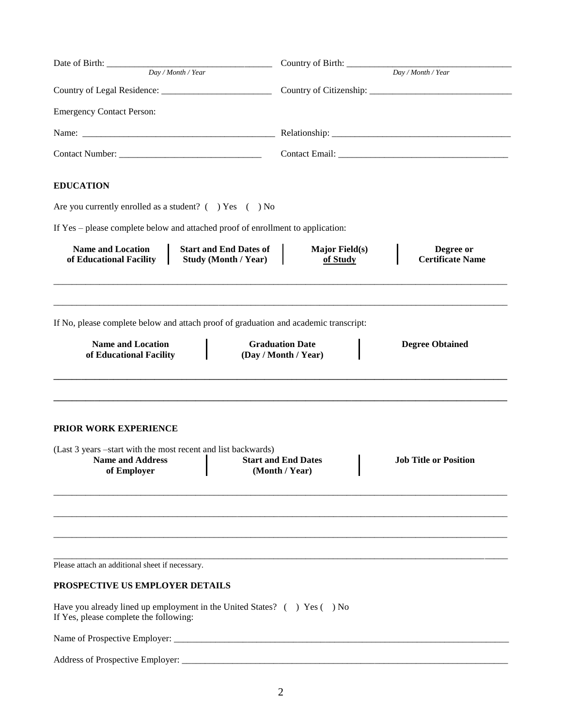| Day / Month / Year                                                                                                                      |  | Country of Birth: __________                 |                                      |  |                  |
|-----------------------------------------------------------------------------------------------------------------------------------------|--|----------------------------------------------|--------------------------------------|--|------------------|
|                                                                                                                                         |  | Day / Month / Year                           |                                      |  |                  |
|                                                                                                                                         |  |                                              |                                      |  |                  |
| <b>Emergency Contact Person:</b>                                                                                                        |  |                                              |                                      |  |                  |
|                                                                                                                                         |  |                                              |                                      |  |                  |
|                                                                                                                                         |  |                                              |                                      |  | <b>EDUCATION</b> |
| Are you currently enrolled as a student? $($ $)$ Yes $($ $)$ No                                                                         |  |                                              |                                      |  |                  |
| If Yes - please complete below and attached proof of enrollment to application:                                                         |  |                                              |                                      |  |                  |
| <b>Name and Location</b><br><b>Start and End Dates of</b><br>of Educational Facility<br><b>Study (Month / Year)</b>                     |  | <b>Major Field(s)</b><br>of Study            | Degree or<br><b>Certificate Name</b> |  |                  |
| If No, please complete below and attach proof of graduation and academic transcript:<br><b>Name and Location</b>                        |  | <b>Graduation Date</b>                       | <b>Degree Obtained</b>               |  |                  |
| of Educational Facility                                                                                                                 |  | (Day / Month / Year)                         |                                      |  |                  |
| <b>PRIOR WORK EXPERIENCE</b><br>(Last 3 years -start with the most recent and list backwards)<br><b>Name and Address</b><br>of Employer |  | <b>Start and End Dates</b><br>(Month / Year) | <b>Job Title or Position</b>         |  |                  |
|                                                                                                                                         |  |                                              |                                      |  |                  |
| Please attach an additional sheet if necessary.                                                                                         |  |                                              |                                      |  |                  |
| PROSPECTIVE US EMPLOYER DETAILS                                                                                                         |  |                                              |                                      |  |                  |
| Have you already lined up employment in the United States? () Yes () No<br>If Yes, please complete the following:                       |  |                                              |                                      |  |                  |
|                                                                                                                                         |  |                                              |                                      |  |                  |
|                                                                                                                                         |  |                                              |                                      |  |                  |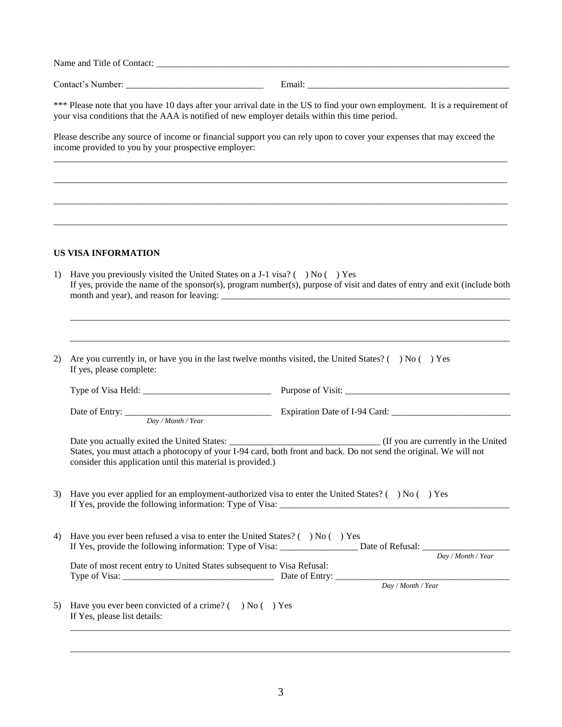Name and Title of Contact: \_\_\_\_\_\_\_\_\_\_\_\_\_\_\_\_\_\_\_\_\_\_\_\_\_\_\_\_\_\_\_\_\_\_\_\_\_\_\_\_\_\_\_\_\_\_\_\_\_\_\_\_\_\_\_\_\_\_\_\_\_\_\_\_\_\_\_\_\_\_\_\_\_\_\_\_\_

Contact's Number: \_\_\_\_\_\_\_\_\_\_\_\_\_\_\_\_\_\_\_\_\_\_\_\_\_\_\_\_\_\_ Email: \_\_\_\_\_\_\_\_\_\_\_\_\_\_\_\_\_\_\_\_\_\_\_\_\_\_\_\_\_\_\_\_\_\_\_\_\_\_\_\_\_\_\_\_

\*\*\* Please note that you have 10 days after your arrival date in the US to find your own employment. It is a requirement of your visa conditions that the AAA is notified of new employer details within this time period.

\_\_\_\_\_\_\_\_\_\_\_\_\_\_\_\_\_\_\_\_\_\_\_\_\_\_\_\_\_\_\_\_\_\_\_\_\_\_\_\_\_\_\_\_\_\_\_\_\_\_\_\_\_\_\_\_\_\_\_\_\_\_\_\_\_\_\_\_\_\_\_\_\_\_\_\_\_\_\_\_\_\_\_\_\_\_\_\_\_\_\_\_\_\_\_\_\_\_\_

\_\_\_\_\_\_\_\_\_\_\_\_\_\_\_\_\_\_\_\_\_\_\_\_\_\_\_\_\_\_\_\_\_\_\_\_\_\_\_\_\_\_\_\_\_\_\_\_\_\_\_\_\_\_\_\_\_\_\_\_\_\_\_\_\_\_\_\_\_\_\_\_\_\_\_\_\_\_\_\_\_\_\_\_\_\_\_\_\_\_\_\_\_\_\_\_\_\_\_

\_\_\_\_\_\_\_\_\_\_\_\_\_\_\_\_\_\_\_\_\_\_\_\_\_\_\_\_\_\_\_\_\_\_\_\_\_\_\_\_\_\_\_\_\_\_\_\_\_\_\_\_\_\_\_\_\_\_\_\_\_\_\_\_\_\_\_\_\_\_\_\_\_\_\_\_\_\_\_\_\_\_\_\_\_\_\_\_\_\_\_\_\_\_\_\_\_\_\_

\_\_\_\_\_\_\_\_\_\_\_\_\_\_\_\_\_\_\_\_\_\_\_\_\_\_\_\_\_\_\_\_\_\_\_\_\_\_\_\_\_\_\_\_\_\_\_\_\_\_\_\_\_\_\_\_\_\_\_\_\_\_\_\_\_\_\_\_\_\_\_\_\_\_\_\_\_\_\_\_\_\_\_\_\_\_\_\_\_\_\_\_\_\_\_\_\_\_\_

Please describe any source of income or financial support you can rely upon to cover your expenses that may exceed the income provided to you by your prospective employer:

## **US VISA INFORMATION**

| Have you previously visited the United States on a J-1 visa? ( $\rightarrow$ No ( $\rightarrow$ Yes<br>1)<br>If yes, provide the name of the sponsor(s), program number(s), purpose of visit and dates of entry and exit (include both |  |                                                                                                                                                                                                                                                                                                                                                                                                                                                                                                                                                                                                                                                                                                                                                                                                                         |  |  |  |
|----------------------------------------------------------------------------------------------------------------------------------------------------------------------------------------------------------------------------------------|--|-------------------------------------------------------------------------------------------------------------------------------------------------------------------------------------------------------------------------------------------------------------------------------------------------------------------------------------------------------------------------------------------------------------------------------------------------------------------------------------------------------------------------------------------------------------------------------------------------------------------------------------------------------------------------------------------------------------------------------------------------------------------------------------------------------------------------|--|--|--|
|                                                                                                                                                                                                                                        |  |                                                                                                                                                                                                                                                                                                                                                                                                                                                                                                                                                                                                                                                                                                                                                                                                                         |  |  |  |
| If yes, please complete:                                                                                                                                                                                                               |  |                                                                                                                                                                                                                                                                                                                                                                                                                                                                                                                                                                                                                                                                                                                                                                                                                         |  |  |  |
|                                                                                                                                                                                                                                        |  |                                                                                                                                                                                                                                                                                                                                                                                                                                                                                                                                                                                                                                                                                                                                                                                                                         |  |  |  |
|                                                                                                                                                                                                                                        |  |                                                                                                                                                                                                                                                                                                                                                                                                                                                                                                                                                                                                                                                                                                                                                                                                                         |  |  |  |
|                                                                                                                                                                                                                                        |  |                                                                                                                                                                                                                                                                                                                                                                                                                                                                                                                                                                                                                                                                                                                                                                                                                         |  |  |  |
|                                                                                                                                                                                                                                        |  |                                                                                                                                                                                                                                                                                                                                                                                                                                                                                                                                                                                                                                                                                                                                                                                                                         |  |  |  |
|                                                                                                                                                                                                                                        |  |                                                                                                                                                                                                                                                                                                                                                                                                                                                                                                                                                                                                                                                                                                                                                                                                                         |  |  |  |
|                                                                                                                                                                                                                                        |  | Day / Month / Year                                                                                                                                                                                                                                                                                                                                                                                                                                                                                                                                                                                                                                                                                                                                                                                                      |  |  |  |
|                                                                                                                                                                                                                                        |  | $\overline{Day/Month}$ / Year                                                                                                                                                                                                                                                                                                                                                                                                                                                                                                                                                                                                                                                                                                                                                                                           |  |  |  |
| If Yes, please list details:                                                                                                                                                                                                           |  |                                                                                                                                                                                                                                                                                                                                                                                                                                                                                                                                                                                                                                                                                                                                                                                                                         |  |  |  |
|                                                                                                                                                                                                                                        |  | Are you currently in, or have you in the last twelve months visited, the United States? ( $\rightarrow$ No ( $\rightarrow$ Yes<br>States, you must attach a photocopy of your I-94 card, both front and back. Do not send the original. We will not<br>consider this application until this material is provided.)<br>Have you ever applied for an employment-authorized visa to enter the United States? ( $\rightarrow$ No ( $\rightarrow$ Yes<br>Have you ever been refused a visa to enter the United States? ( $\rightarrow$ No ( $\rightarrow$ Yes<br>If Yes, provide the following information: Type of Visa: _______________________ Date of Refusal: ____________<br>Date of most recent entry to United States subsequent to Visa Refusal:<br>Have you ever been convicted of a crime? $($ $)$ No $($ $)$ Yes |  |  |  |

\_\_\_\_\_\_\_\_\_\_\_\_\_\_\_\_\_\_\_\_\_\_\_\_\_\_\_\_\_\_\_\_\_\_\_\_\_\_\_\_\_\_\_\_\_\_\_\_\_\_\_\_\_\_\_\_\_\_\_\_\_\_\_\_\_\_\_\_\_\_\_\_\_\_\_\_\_\_\_\_\_\_\_\_\_\_\_\_\_\_\_\_\_\_\_\_